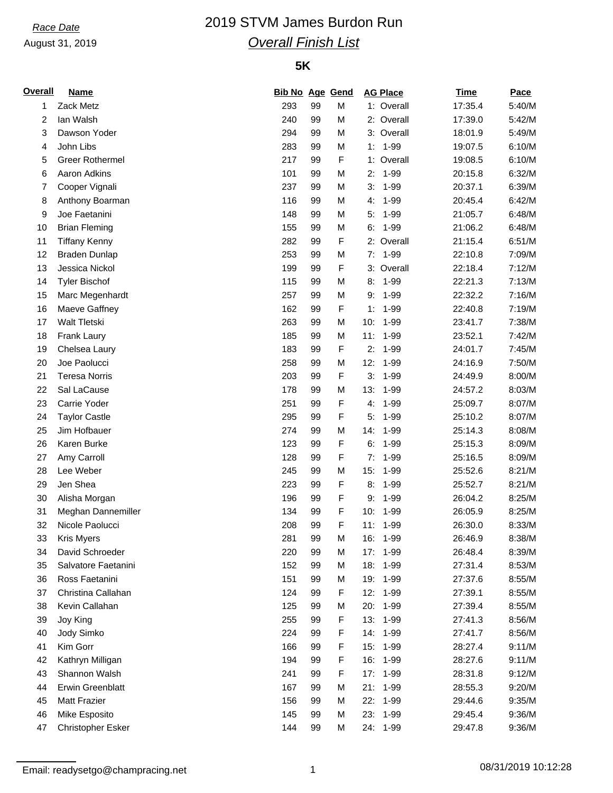## August 31, 2019

# *Race Date* 2019 STVM James Burdon Run *Overall Finish List*

### **5K**

| <b>Overall</b> | <b>Name</b>                           | <b>Bib No Age Gend</b> |    |        | <b>AG Place</b>        | <b>Time</b> | Pace   |
|----------------|---------------------------------------|------------------------|----|--------|------------------------|-------------|--------|
| 1              | Zack Metz                             | 293                    | 99 | M      | 1: Overall             | 17:35.4     | 5:40/M |
| 2              | lan Walsh                             | 240                    | 99 | M      | 2: Overall             | 17:39.0     | 5:42/M |
| 3              | Dawson Yoder                          | 294                    | 99 | M      | 3: Overall             | 18:01.9     | 5:49/M |
| 4              | John Libs                             | 283                    | 99 | M      | 1-99<br>1:             | 19:07.5     | 6:10/M |
| 5              | Greer Rothermel                       | 217                    | 99 | F      | 1: Overall             | 19:08.5     | 6:10/M |
| 6              | Aaron Adkins                          | 101                    | 99 | M      | $1 - 99$<br>2:         | 20:15.8     | 6:32/M |
| 7              | Cooper Vignali                        | 237                    | 99 | M      | $1 - 99$<br>3:         | 20:37.1     | 6:39/M |
| 8              | Anthony Boarman                       | 116                    | 99 | M      | $1 - 99$<br>4.         | 20:45.4     | 6:42/M |
| 9              | Joe Faetanini                         | 148                    | 99 | M      | 5:<br>$1 - 99$         | 21:05.7     | 6:48/M |
| 10             | <b>Brian Fleming</b>                  | 155                    | 99 | M      | $1 - 99$<br>6:         | 21:06.2     | 6:48/M |
| 11             | <b>Tiffany Kenny</b>                  | 282                    | 99 | F      | Overall<br>2:          | 21:15.4     | 6:51/M |
| 12             | <b>Braden Dunlap</b>                  | 253                    | 99 | M      | $1 - 99$<br>7:         | 22:10.8     | 7:09/M |
| 13             | Jessica Nickol                        | 199                    | 99 | F      | 3: Overall             | 22:18.4     | 7:12/M |
| 14             | <b>Tyler Bischof</b>                  | 115                    | 99 | M      | $1 - 99$<br>8:         | 22:21.3     | 7:13/M |
| 15             | Marc Megenhardt                       | 257                    | 99 | M      | $1 - 99$<br>9:         | 22:32.2     | 7:16/M |
| 16             | Maeve Gaffney                         | 162                    | 99 | F      | $1 - 99$<br>1:         | 22:40.8     | 7:19/M |
| 17             | Walt Tletski                          | 263                    | 99 | M      | $1 - 99$<br>10:        | 23:41.7     | 7:38/M |
| 18             | Frank Laury                           | 185                    | 99 | M      | 11:<br>$1 - 99$        | 23:52.1     | 7:42/M |
| 19             | Chelsea Laury                         | 183                    | 99 | F      | $1 - 99$<br>2:         | 24:01.7     | 7:45/M |
| 20             | Joe Paolucci                          | 258                    | 99 | M      | 12:<br>$1 - 99$        | 24:16.9     | 7:50/M |
| 21             | <b>Teresa Norris</b>                  | 203                    | 99 | F      | 3:<br>$1 - 99$         | 24:49.9     | 8:00/M |
| 22             | Sal LaCause                           | 178                    | 99 | M      | $1 - 99$<br>13:        | 24:57.2     | 8:03/M |
| 23             | Carrie Yoder                          | 251                    | 99 | F      | $1 - 99$<br>4.         | 25:09.7     | 8:07/M |
| 24             | <b>Taylor Castle</b>                  | 295                    | 99 | F      | 5:<br>$1 - 99$         | 25:10.2     | 8:07/M |
| 25             | Jim Hofbauer                          | 274                    | 99 | M      | 14:<br>$1 - 99$        | 25:14.3     | 8:08/M |
| 26             | Karen Burke                           | 123                    | 99 | F      | 6:<br>1-99             | 25:15.3     | 8:09/M |
| 27             | Amy Carroll                           | 128                    | 99 | F      | $1 - 99$<br>7:         | 25:16.5     | 8:09/M |
| 28             | Lee Weber                             | 245                    | 99 | M      | 15:<br>$1 - 99$        | 25:52.6     | 8:21/M |
| 29             | Jen Shea                              | 223                    | 99 | F      | $1 - 99$<br>8:         | 25:52.7     | 8:21/M |
| 30             |                                       | 196                    | 99 | F      | 1-99<br>9:             | 26:04.2     | 8:25/M |
|                | Alisha Morgan                         |                        |    |        |                        |             |        |
| 31             | Meghan Dannemiller<br>Nicole Paolucci | 134                    | 99 | F<br>F | 10:<br>$1 - 99$<br>11: | 26:05.9     | 8:25/M |
| 32             |                                       | 208                    | 99 |        | 1-99                   | 26:30.0     | 8:33/M |
| 33             | <b>Kris Myers</b>                     | 281                    | 99 | M      | 16:<br>1-99            | 26:46.9     | 8:38/M |
| 34             | David Schroeder                       | 220                    | 99 | M      | $1 - 99$<br>17:        | 26:48.4     | 8:39/M |
| 35             | Salvatore Faetanini                   | 152                    | 99 | M      | $1 - 99$<br>18:        | 27:31.4     | 8:53/M |
| 36             | Ross Faetanini                        | 151                    | 99 | M      | 19:<br>$1 - 99$        | 27:37.6     | 8:55/M |
| 37             | Christina Callahan                    | 124                    | 99 | F      | 12:<br>$1 - 99$        | 27:39.1     | 8:55/M |
| 38             | Kevin Callahan                        | 125                    | 99 | M      | 20:<br>$1 - 99$        | 27:39.4     | 8:55/M |
| 39             | Joy King                              | 255                    | 99 | F      | 13:<br>$1 - 99$        | 27:41.3     | 8:56/M |
| 40             | Jody Simko                            | 224                    | 99 | F      | 14:<br>$1 - 99$        | 27:41.7     | 8:56/M |
| 41             | Kim Gorr                              | 166                    | 99 | F      | 15:<br>$1 - 99$        | 28:27.4     | 9:11/M |
| 42             | Kathryn Milligan                      | 194                    | 99 | F      | 16:<br>$1 - 99$        | 28:27.6     | 9:11/M |
| 43             | Shannon Walsh                         | 241                    | 99 | F      | $1 - 99$<br>17:        | 28:31.8     | 9:12/M |
| 44             | Erwin Greenblatt                      | 167                    | 99 | M      | 21:<br>$1 - 99$        | 28:55.3     | 9:20/M |
| 45             | <b>Matt Frazier</b>                   | 156                    | 99 | M      | 22:<br>$1 - 99$        | 29:44.6     | 9:35/M |
| 46             | Mike Esposito                         | 145                    | 99 | M      | 23:<br>$1 - 99$        | 29:45.4     | 9:36/M |
| 47             | Christopher Esker                     | 144                    | 99 | M      | 24: 1-99               | 29:47.8     | 9:36/M |

Email: readysetgo@champracing.net 1 08/31/2019 10:12:28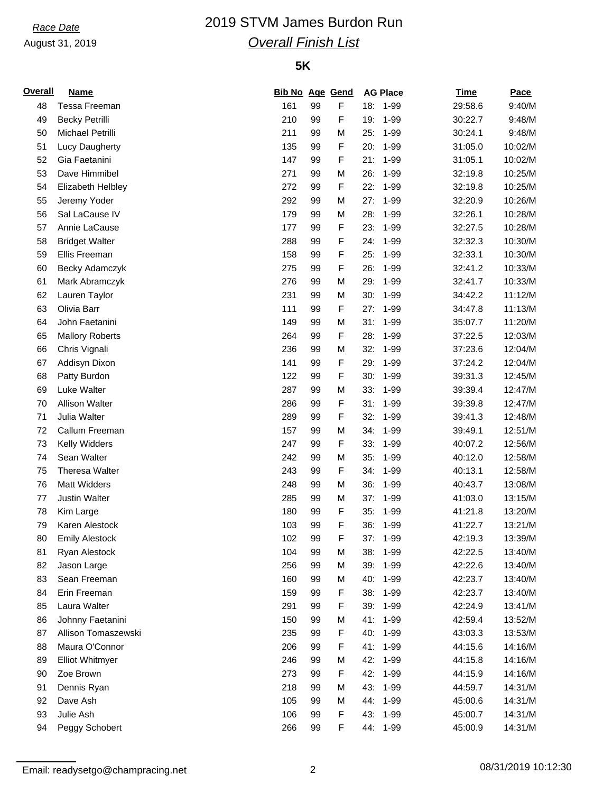## August 31, 2019

# *Race Date* 2019 STVM James Burdon Run *Overall Finish List*

### **5K**

| <b>Overall</b> | <b>Name</b>            | <b>Bib No Age Gend</b> |    |                  |     | <b>AG Place</b> | <b>Time</b> | Pace    |
|----------------|------------------------|------------------------|----|------------------|-----|-----------------|-------------|---------|
| 48             | Tessa Freeman          | 161                    | 99 | F                |     | 18: 1-99        | 29:58.6     | 9:40/M  |
| 49             | <b>Becky Petrilli</b>  | 210                    | 99 | F                | 19: | 1-99            | 30:22.7     | 9:48/M  |
| 50             | Michael Petrilli       | 211                    | 99 | М                | 25: | $1 - 99$        | 30:24.1     | 9:48/M  |
| 51             | Lucy Daugherty         | 135                    | 99 | $\mathsf F$      | 20: | 1-99            | 31:05.0     | 10:02/M |
| 52             | Gia Faetanini          | 147                    | 99 | F                | 21: | 1-99            | 31:05.1     | 10:02/M |
| 53             | Dave Himmibel          | 271                    | 99 | M                | 26: | 1-99            | 32:19.8     | 10:25/M |
| 54             | Elizabeth Helbley      | 272                    | 99 | F                | 22: | $1 - 99$        | 32:19.8     | 10:25/M |
| 55             | Jeremy Yoder           | 292                    | 99 | M                | 27: | $1 - 99$        | 32:20.9     | 10:26/M |
| 56             | Sal LaCause IV         | 179                    | 99 | M                | 28: | 1-99            | 32:26.1     | 10:28/M |
| 57             | Annie LaCause          | 177                    | 99 | $\mathsf F$      | 23: | 1-99            | 32:27.5     | 10:28/M |
| 58             | <b>Bridget Walter</b>  | 288                    | 99 | F                | 24: | $1 - 99$        | 32:32.3     | 10:30/M |
| 59             | Ellis Freeman          | 158                    | 99 | F                | 25: | 1-99            | 32:33.1     | 10:30/M |
| 60             | Becky Adamczyk         | 275                    | 99 | F                | 26: | 1-99            | 32:41.2     | 10:33/M |
| 61             | Mark Abramczyk         | 276                    | 99 | M                | 29: | 1-99            | 32:41.7     | 10:33/M |
| 62             | Lauren Taylor          | 231                    | 99 | M                | 30: | $1 - 99$        | 34:42.2     | 11:12/M |
| 63             | Olivia Barr            | 111                    | 99 | $\mathsf F$      | 27: | $1 - 99$        | 34:47.8     | 11:13/M |
| 64             | John Faetanini         | 149                    | 99 | M                | 31: | 1-99            | 35:07.7     | 11:20/M |
| 65             | <b>Mallory Roberts</b> | 264                    | 99 | $\mathsf F$      | 28: | 1-99            | 37:22.5     | 12:03/M |
| 66             | Chris Vignali          | 236                    | 99 | М                | 32: | $1 - 99$        | 37:23.6     | 12:04/M |
| 67             | Addisyn Dixon          | 141                    | 99 | $\mathsf F$      | 29: | 1-99            | 37:24.2     | 12:04/M |
| 68             | Patty Burdon           | 122                    | 99 | F                | 30: | 1-99            | 39:31.3     | 12:45/M |
| 69             | Luke Walter            | 287                    | 99 | M                | 33: | 1-99            | 39:39.4     | 12:47/M |
| 70             | <b>Allison Walter</b>  | 286                    | 99 | F                | 31: | $1 - 99$        | 39:39.8     | 12:47/M |
| 71             | Julia Walter           | 289                    | 99 | $\mathsf F$      | 32: | $1 - 99$        | 39:41.3     | 12:48/M |
| 72             | Callum Freeman         | 157                    | 99 | M                | 34: | 1-99            | 39:49.1     | 12:51/M |
| 73             | Kelly Widders          | 247                    | 99 | $\mathsf F$      | 33: | $1 - 99$        | 40:07.2     | 12:56/M |
| 74             | Sean Walter            | 242                    |    |                  | 35: |                 |             | 12:58/M |
|                |                        |                        | 99 | М<br>$\mathsf F$ |     | $1 - 99$        | 40:12.0     |         |
| 75             | Theresa Walter         | 243                    | 99 |                  | 34: | 1-99            | 40:13.1     | 12:58/M |
| 76             | <b>Matt Widders</b>    | 248                    | 99 | M                | 36: | 1-99            | 40:43.7     | 13:08/M |
| 77             | <b>Justin Walter</b>   | 285                    | 99 | M                | 37: | 1-99            | 41:03.0     | 13:15/M |
| 78             | Kim Large              | 180                    | 99 | F                | 35: | $1 - 99$        | 41:21.8     | 13:20/M |
| 79             | Karen Alestock         | 103                    | 99 | $\mathsf F$      | 36: | 1-99            | 41:22.7     | 13:21/M |
| 80             | <b>Emily Alestock</b>  | 102                    | 99 | $\mathsf F$      | 37: | 1-99            | 42:19.3     | 13:39/M |
| 81             | Ryan Alestock          | 104                    | 99 | M                | 38: | 1-99            | 42:22.5     | 13:40/M |
| 82             | Jason Large            | 256                    | 99 | М                | 39: | 1-99            | 42:22.6     | 13:40/M |
| 83             | Sean Freeman           | 160                    | 99 | М                | 40: | 1-99            | 42:23.7     | 13:40/M |
| 84             | Erin Freeman           | 159                    | 99 | F                | 38: | 1-99            | 42:23.7     | 13:40/M |
| 85             | Laura Walter           | 291                    | 99 | F                |     | 39: 1-99        | 42:24.9     | 13:41/M |
| 86             | Johnny Faetanini       | 150                    | 99 | Μ                |     | 41: 1-99        | 42:59.4     | 13:52/M |
| 87             | Allison Tomaszewski    | 235                    | 99 | F                | 40: | 1-99            | 43:03.3     | 13:53/M |
| 88             | Maura O'Connor         | 206                    | 99 | F                | 41: | 1-99            | 44:15.6     | 14:16/M |
| 89             | <b>Elliot Whitmyer</b> | 246                    | 99 | M                | 42: | 1-99            | 44:15.8     | 14:16/M |
| 90             | Zoe Brown              | 273                    | 99 | F                | 42: | 1-99            | 44:15.9     | 14:16/M |
| 91             | Dennis Ryan            | 218                    | 99 | M                | 43: | 1-99            | 44:59.7     | 14:31/M |
| 92             | Dave Ash               | 105                    | 99 | М                |     | 44: 1-99        | 45:00.6     | 14:31/M |
| 93             | Julie Ash              | 106                    | 99 | F                |     | 43: 1-99        | 45:00.7     | 14:31/M |
| 94             | Peggy Schobert         | 266                    | 99 | F                |     | 44: 1-99        | 45:00.9     | 14:31/M |

Email: readysetgo@champracing.net 2 08/31/2019 10:12:30